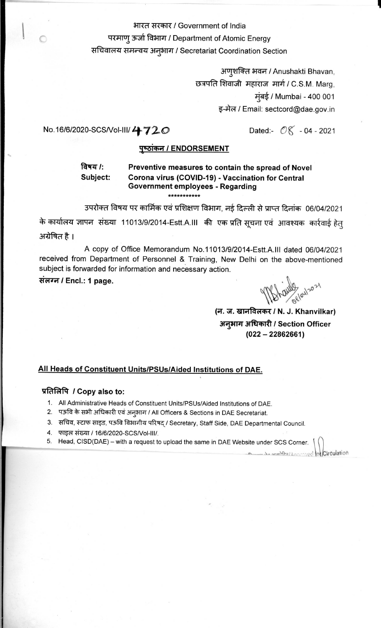भारत सरकार / Government of India परमाण् ऊर्जा विभाग / Department of Atomic Energy सचिवालय समन्वय अनुभाग / Secretariat Coordination Section

> अणूशक्ति भवन / Anushakti Bhavan, छत्रपति शिवाजी महाराज मार्ग / C.S.M. Marg, म्बई / Mumbai - 400 001 इ-मेल / Email: sectcord@dae.gov.in

No.16/6/2020-SCS/Vol-III/4720

# Dated:-  $OS - 04 - 2021$

#### <u>पृष्ठांकन / ENDORSEMENT</u>

#### विषय /: Preventive measures to contain the spread of Novel Subject: Corona virus (COVID-19) - Vaccination for Central **Government employees - Regarding**

उपरोक्त विषय पर कार्मिक एवं प्रशिक्षण विभाग, नई दिल्ली से प्राप्त दिनांक 06/04/2021

के कार्यालय ज्ञापन संख्या 11013/9/2014-Estt.A.III की एक प्रति सूचना एवं आवश्यक कार्रवाई हेत् अग्रेषित है ।

A copy of Office Memorandum No.11013/9/2014-Estt.A.III dated 06/04/2021 received from Department of Personnel & Training, New Delhi on the above-mentioned subject is forwarded for information and necessary action.

संलग्न / Encl.: 1 page.

wed tot Circulation

(न. ज. खानविलकर / N. J. Khanvilkar) अन्आग अधिकारी / Section Officer  $(022 - 22862661)$ 

#### All Heads of Constituent Units/PSUs/Aided Institutions of DAE.

#### प्रतिलिपि / Copy also to:

- 1. All Administrative Heads of Constituent Units/PSUs/Aided Institutions of DAE.
- 2. पऊवि के सभी अधिकारी एवं अन्आग / All Officers & Sections in DAE Secretariat.
- 3. सचिव, स्टाफ साइड, पऊवि विभागीय परिषद / Secretary, Staff Side, DAE Departmental Council.
- 4. फाइल संख्या / 16/6/2020-SCS/Vol-III/.
- Head, CISD(DAE) with a request to upload the same in DAE Website under SCS Corner. 5.